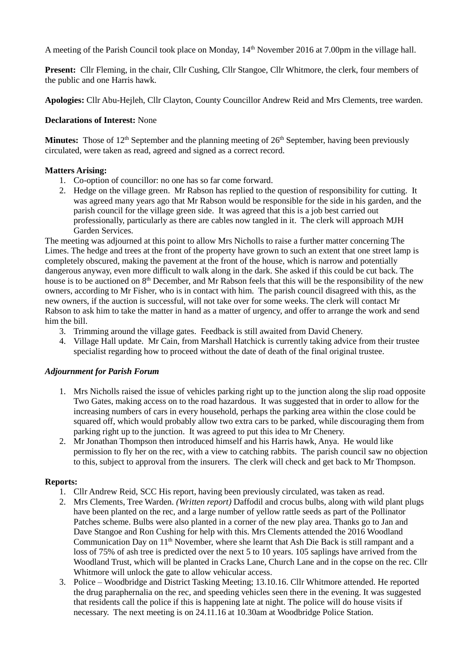A meeting of the Parish Council took place on Monday, 14<sup>th</sup> November 2016 at 7.00pm in the village hall.

**Present:** Cllr Fleming, in the chair, Cllr Cushing, Cllr Stangoe, Cllr Whitmore, the clerk, four members of the public and one Harris hawk.

**Apologies:** Cllr Abu-Hejleh, Cllr Clayton, County Councillor Andrew Reid and Mrs Clements, tree warden.

## **Declarations of Interest:** None

**Minutes:** Those of 12<sup>th</sup> September and the planning meeting of 26<sup>th</sup> September, having been previously circulated, were taken as read, agreed and signed as a correct record.

# **Matters Arising:**

- 1. Co-option of councillor: no one has so far come forward.
- 2. Hedge on the village green. Mr Rabson has replied to the question of responsibility for cutting. It was agreed many years ago that Mr Rabson would be responsible for the side in his garden, and the parish council for the village green side. It was agreed that this is a job best carried out professionally, particularly as there are cables now tangled in it. The clerk will approach MJH Garden Services.

The meeting was adjourned at this point to allow Mrs Nicholls to raise a further matter concerning The Limes. The hedge and trees at the front of the property have grown to such an extent that one street lamp is completely obscured, making the pavement at the front of the house, which is narrow and potentially dangerous anyway, even more difficult to walk along in the dark. She asked if this could be cut back. The house is to be auctioned on 8<sup>th</sup> December, and Mr Rabson feels that this will be the responsibility of the new owners, according to Mr Fisher, who is in contact with him. The parish council disagreed with this, as the new owners, if the auction is successful, will not take over for some weeks. The clerk will contact Mr Rabson to ask him to take the matter in hand as a matter of urgency, and offer to arrange the work and send him the bill.

- 3. Trimming around the village gates. Feedback is still awaited from David Chenery.
- 4. Village Hall update. Mr Cain, from Marshall Hatchick is currently taking advice from their trustee specialist regarding how to proceed without the date of death of the final original trustee.

### *Adjournment for Parish Forum*

- 1. Mrs Nicholls raised the issue of vehicles parking right up to the junction along the slip road opposite Two Gates, making access on to the road hazardous. It was suggested that in order to allow for the increasing numbers of cars in every household, perhaps the parking area within the close could be squared off, which would probably allow two extra cars to be parked, while discouraging them from parking right up to the junction. It was agreed to put this idea to Mr Chenery.
- 2. Mr Jonathan Thompson then introduced himself and his Harris hawk, Anya. He would like permission to fly her on the rec, with a view to catching rabbits. The parish council saw no objection to this, subject to approval from the insurers. The clerk will check and get back to Mr Thompson.

### **Reports:**

- 1. Cllr Andrew Reid, SCC His report, having been previously circulated, was taken as read.
- 2. Mrs Clements, Tree Warden. *(Written report)* Daffodil and crocus bulbs, along with wild plant plugs have been planted on the rec, and a large number of yellow rattle seeds as part of the Pollinator Patches scheme. Bulbs were also planted in a corner of the new play area. Thanks go to Jan and Dave Stangoe and Ron Cushing for help with this. Mrs Clements attended the 2016 Woodland Communication Day on 11<sup>th</sup> November, where she learnt that Ash Die Back is still rampant and a loss of 75% of ash tree is predicted over the next 5 to 10 years. 105 saplings have arrived from the Woodland Trust, which will be planted in Cracks Lane, Church Lane and in the copse on the rec. Cllr Whitmore will unlock the gate to allow vehicular access.
- 3. Police Woodbridge and District Tasking Meeting; 13.10.16. Cllr Whitmore attended. He reported the drug paraphernalia on the rec, and speeding vehicles seen there in the evening. It was suggested that residents call the police if this is happening late at night. The police will do house visits if necessary. The next meeting is on 24.11.16 at 10.30am at Woodbridge Police Station.